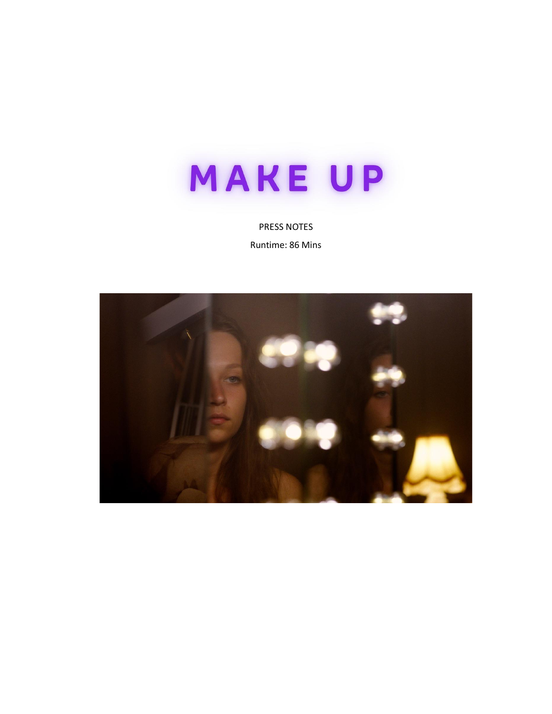

PRESS NOTES

Runtime: 86 Mins

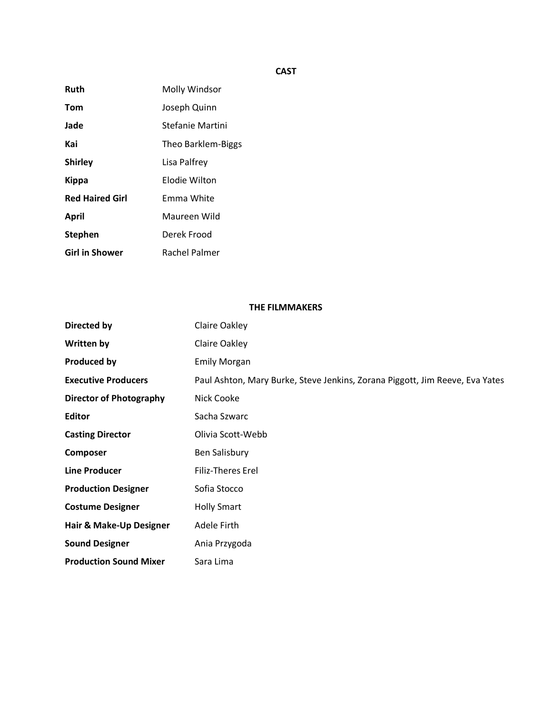# **CAST**

| Ruth                   | Molly Windsor        |
|------------------------|----------------------|
| Tom                    | Joseph Quinn         |
| Jade                   | Stefanie Martini     |
| Kai                    | Theo Barklem-Biggs   |
| <b>Shirley</b>         | Lisa Palfrey         |
| <b>Kippa</b>           | Elodie Wilton        |
| <b>Red Haired Girl</b> | Emma White           |
| April                  | Maureen Wild         |
| <b>Stephen</b>         | Derek Frood          |
| <b>Girl in Shower</b>  | <b>Rachel Palmer</b> |

## **THE FILMMAKERS**

| Directed by                    | Claire Oakley                                                                |
|--------------------------------|------------------------------------------------------------------------------|
| Written by                     | Claire Oakley                                                                |
| <b>Produced by</b>             | <b>Emily Morgan</b>                                                          |
| <b>Executive Producers</b>     | Paul Ashton, Mary Burke, Steve Jenkins, Zorana Piggott, Jim Reeve, Eva Yates |
| <b>Director of Photography</b> | Nick Cooke                                                                   |
| Editor                         | Sacha Szwarc                                                                 |
| <b>Casting Director</b>        | Olivia Scott-Webb                                                            |
| Composer                       | Ben Salisbury                                                                |
| <b>Line Producer</b>           | Filiz-Theres Erel                                                            |
| <b>Production Designer</b>     | Sofia Stocco                                                                 |
| <b>Costume Designer</b>        | <b>Holly Smart</b>                                                           |
| Hair & Make-Up Designer        | Adele Firth                                                                  |
| <b>Sound Designer</b>          | Ania Przygoda                                                                |
| <b>Production Sound Mixer</b>  | Sara Lima                                                                    |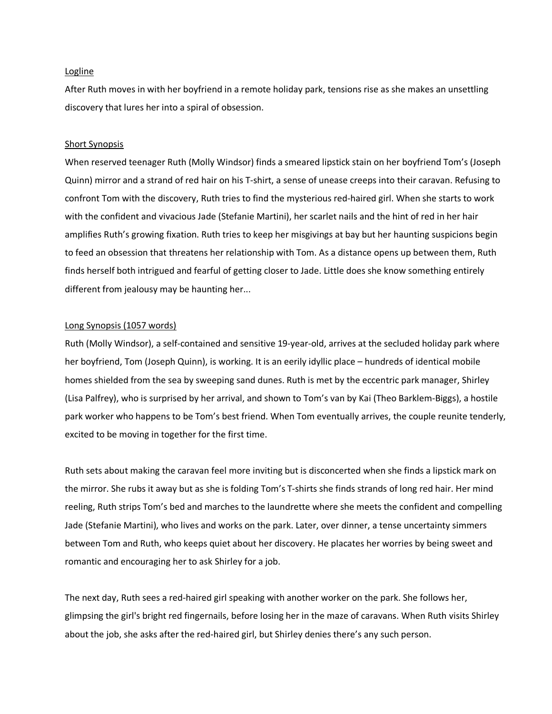#### **Logline**

After Ruth moves in with her boyfriend in a remote holiday park, tensions rise as she makes an unsettling discovery that lures her into a spiral of obsession.

#### Short Synopsis

When reserved teenager Ruth (Molly Windsor) finds a smeared lipstick stain on her boyfriend Tom's (Joseph Quinn) mirror and a strand of red hair on his T-shirt, a sense of unease creeps into their caravan. Refusing to confront Tom with the discovery, Ruth tries to find the mysterious red-haired girl. When she starts to work with the confident and vivacious Jade (Stefanie Martini), her scarlet nails and the hint of red in her hair amplifies Ruth's growing fixation. Ruth tries to keep her misgivings at bay but her haunting suspicions begin to feed an obsession that threatens her relationship with Tom. As a distance opens up between them, Ruth finds herself both intrigued and fearful of getting closer to Jade. Little does she know something entirely different from jealousy may be haunting her...

#### Long Synopsis (1057 words)

Ruth (Molly Windsor), a self-contained and sensitive 19-year-old, arrives at the secluded holiday park where her boyfriend, Tom (Joseph Quinn), is working. It is an eerily idyllic place – hundreds of identical mobile homes shielded from the sea by sweeping sand dunes. Ruth is met by the eccentric park manager, Shirley (Lisa Palfrey), who is surprised by her arrival, and shown to Tom's van by Kai (Theo Barklem-Biggs), a hostile park worker who happens to be Tom's best friend. When Tom eventually arrives, the couple reunite tenderly, excited to be moving in together for the first time.

Ruth sets about making the caravan feel more inviting but is disconcerted when she finds a lipstick mark on the mirror. She rubs it away but as she is folding Tom's T-shirts she finds strands of long red hair. Her mind reeling, Ruth strips Tom's bed and marches to the laundrette where she meets the confident and compelling Jade (Stefanie Martini), who lives and works on the park. Later, over dinner, a tense uncertainty simmers between Tom and Ruth, who keeps quiet about her discovery. He placates her worries by being sweet and romantic and encouraging her to ask Shirley for a job.

The next day, Ruth sees a red-haired girl speaking with another worker on the park. She follows her, glimpsing the girl's bright red fingernails, before losing her in the maze of caravans. When Ruth visits Shirley about the job, she asks after the red-haired girl, but Shirley denies there's any such person.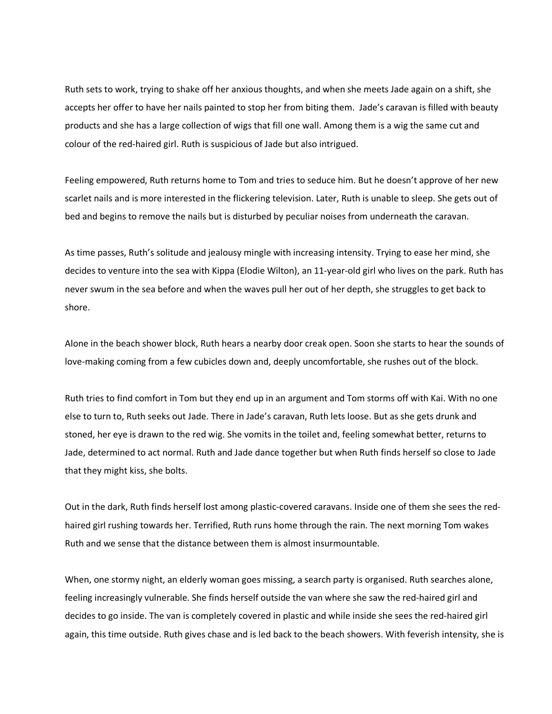Ruth sets to work, trying to shake off her anxious thoughts, and when she meets Jade again on a shift, she accepts her offer to have her nails painted to stop her from biting them. Jade's caravan is filled with beauty products and she has a large collection of wigs that fill one wall. Among them is a wig the same cut and colour of the red-haired girl. Ruth is suspicious of Jade but also intrigued.

Feeling empowered, Ruth returns home to Tom and tries to seduce him. But he doesn't approve of her new scarlet nails and is more interested in the flickering television. Later, Ruth is unable to sleep. She gets out of bed and begins to remove the nails but is disturbed by peculiar noises from underneath the caravan.

As time passes, Ruth's solitude and jealousy mingle with increasing intensity. Trying to ease her mind, she decides to venture into the sea with Kippa (Elodie Wilton), an 11-year-old girl who lives on the park. Ruth has never swum in the sea before and when the waves pull her out of her depth, she struggles to get back to shore.

Alone in the beach shower block, Ruth hears a nearby door creak open. Soon she starts to hear the sounds of love-making coming from a few cubicles down and, deeply uncomfortable, she rushes out of the block.

Ruth tries to find comfort in Tom but they end up in an argument and Tom storms off with Kai. With no one else to turn to, Ruth seeks out Jade. There in Jade's caravan, Ruth lets loose. But as she gets drunk and stoned, her eye is drawn to the red wig. She vomits in the toilet and, feeling somewhat better, returns to Jade, determined to act normal. Ruth and Jade dance together but when Ruth finds herself so close to Jade that they might kiss, she bolts.

Out in the dark, Ruth finds herself lost among plastic-covered caravans. Inside one of them she sees the redhaired girl rushing towards her. Terrified, Ruth runs home through the rain. The next morning Tom wakes Ruth and we sense that the distance between them is almost insurmountable.

When, one stormy night, an elderly woman goes missing, a search party is organised. Ruth searches alone, feeling increasingly vulnerable. She finds herself outside the van where she saw the red-haired girl and decides to go inside. The van is completely covered in plastic and while inside she sees the red-haired girl again, this time outside. Ruth gives chase and is led back to the beach showers. With feverish intensity, she is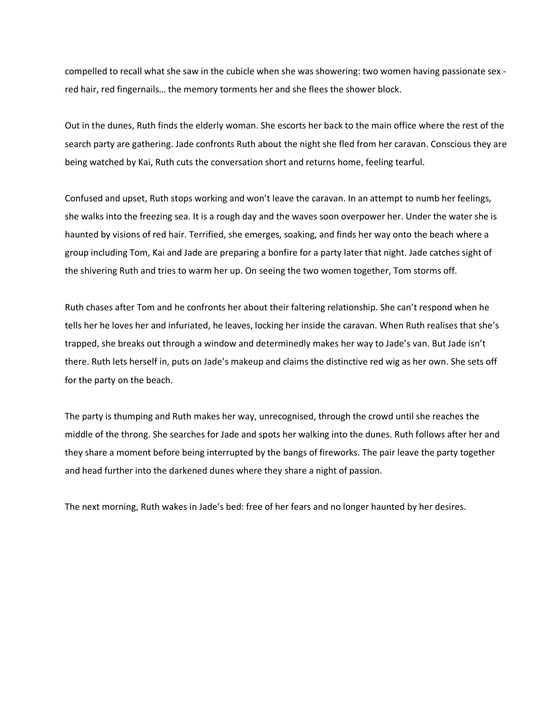compelled to recall what she saw in the cubicle when she was showering: two women having passionate sex red hair, red fingernails… the memory torments her and she flees the shower block.

Out in the dunes, Ruth finds the elderly woman. She escorts her back to the main office where the rest of the search party are gathering. Jade confronts Ruth about the night she fled from her caravan. Conscious they are being watched by Kai, Ruth cuts the conversation short and returns home, feeling tearful.

Confused and upset, Ruth stops working and won't leave the caravan. In an attempt to numb her feelings, she walks into the freezing sea. It is a rough day and the waves soon overpower her. Under the water she is haunted by visions of red hair. Terrified, she emerges, soaking, and finds her way onto the beach where a group including Tom, Kai and Jade are preparing a bonfire for a party later that night. Jade catches sight of the shivering Ruth and tries to warm her up. On seeing the two women together, Tom storms off.

Ruth chases after Tom and he confronts her about their faltering relationship. She can't respond when he tells her he loves her and infuriated, he leaves, locking her inside the caravan. When Ruth realises that she's trapped, she breaks out through a window and determinedly makes her way to Jade's van. But Jade isn't there. Ruth lets herself in, puts on Jade's makeup and claims the distinctive red wig as her own. She sets off for the party on the beach.

The party is thumping and Ruth makes her way, unrecognised, through the crowd until she reaches the middle of the throng. She searches for Jade and spots her walking into the dunes. Ruth follows after her and they share a moment before being interrupted by the bangs of fireworks. The pair leave the party together and head further into the darkened dunes where they share a night of passion.

The next morning, Ruth wakes in Jade's bed: free of her fears and no longer haunted by her desires.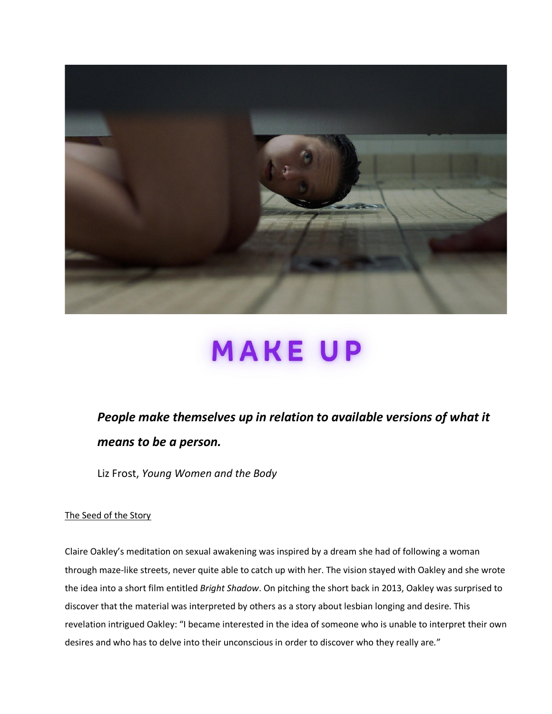

# **MAKEUP**

# *People make themselves up in relation to available versions of what it means to be a person.*

Liz Frost, *Young Women and the Body*

# The Seed of the Story

Claire Oakley's meditation on sexual awakening was inspired by a dream she had of following a woman through maze-like streets, never quite able to catch up with her. The vision stayed with Oakley and she wrote the idea into a short film entitled *Bright Shadow*. On pitching the short back in 2013, Oakley was surprised to discover that the material was interpreted by others as a story about lesbian longing and desire. This revelation intrigued Oakley: "I became interested in the idea of someone who is unable to interpret their own desires and who has to delve into their unconscious in order to discover who they really are*.*"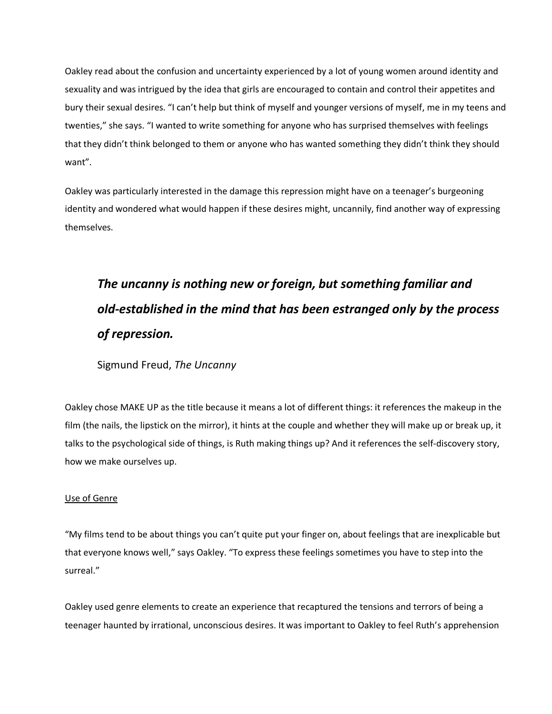Oakley read about the confusion and uncertainty experienced by a lot of young women around identity and sexuality and was intrigued by the idea that girls are encouraged to contain and control their appetites and bury their sexual desires. "I can't help but think of myself and younger versions of myself, me in my teens and twenties," she says. "I wanted to write something for anyone who has surprised themselves with feelings that they didn't think belonged to them or anyone who has wanted something they didn't think they should want".

Oakley was particularly interested in the damage this repression might have on a teenager's burgeoning identity and wondered what would happen if these desires might, uncannily, find another way of expressing themselves.

# *The uncanny is nothing new or foreign, but something familiar and old-established in the mind that has been estranged only by the process of repression.*

Sigmund Freud, *The Uncanny*

Oakley chose MAKE UP as the title because it means a lot of different things: it references the makeup in the film (the nails, the lipstick on the mirror), it hints at the couple and whether they will make up or break up, it talks to the psychological side of things, is Ruth making things up? And it references the self-discovery story, how we make ourselves up.

# Use of Genre

"My films tend to be about things you can't quite put your finger on, about feelings that are inexplicable but that everyone knows well," says Oakley. "To express these feelings sometimes you have to step into the surreal."

Oakley used genre elements to create an experience that recaptured the tensions and terrors of being a teenager haunted by irrational, unconscious desires. It was important to Oakley to feel Ruth's apprehension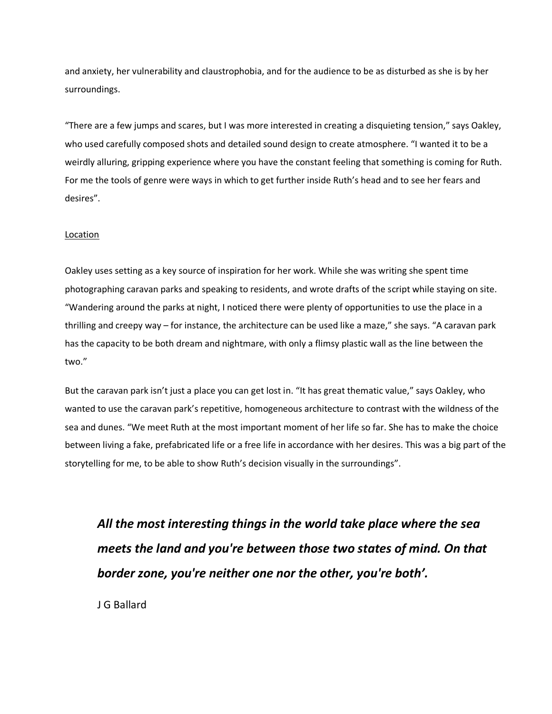and anxiety, her vulnerability and claustrophobia, and for the audience to be as disturbed as she is by her surroundings.

"There are a few jumps and scares, but I was more interested in creating a disquieting tension," says Oakley, who used carefully composed shots and detailed sound design to create atmosphere. "I wanted it to be a weirdly alluring, gripping experience where you have the constant feeling that something is coming for Ruth. For me the tools of genre were ways in which to get further inside Ruth's head and to see her fears and desires".

# Location

Oakley uses setting as a key source of inspiration for her work. While she was writing she spent time photographing caravan parks and speaking to residents, and wrote drafts of the script while staying on site. "Wandering around the parks at night, I noticed there were plenty of opportunities to use the place in a thrilling and creepy way – for instance, the architecture can be used like a maze," she says. "A caravan park has the capacity to be both dream and nightmare, with only a flimsy plastic wall as the line between the two."

But the caravan park isn't just a place you can get lost in. "It has great thematic value," says Oakley, who wanted to use the caravan park's repetitive, homogeneous architecture to contrast with the wildness of the sea and dunes. "We meet Ruth at the most important moment of her life so far. She has to make the choice between living a fake, prefabricated life or a free life in accordance with her desires. This was a big part of the storytelling for me, to be able to show Ruth's decision visually in the surroundings".

*All the most interesting things in the world take place where the sea meets the land and you're between those two states of mind. On that border zone, you're neither one nor the other, you're both'.* 

J G Ballard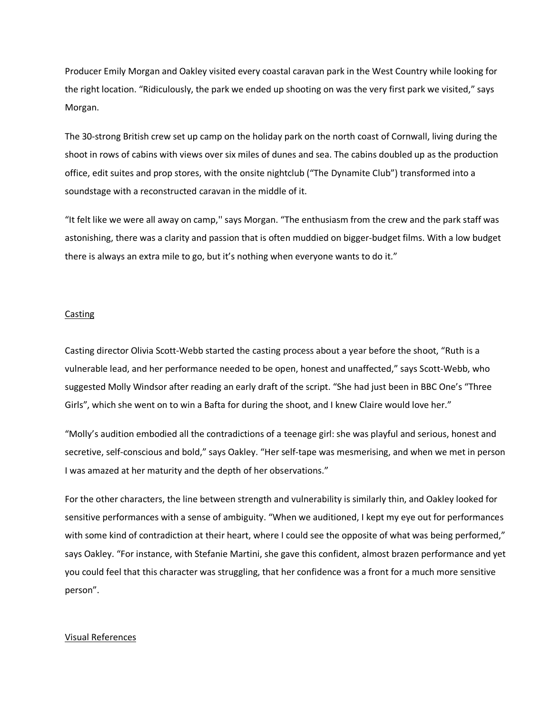Producer Emily Morgan and Oakley visited every coastal caravan park in the West Country while looking for the right location. "Ridiculously, the park we ended up shooting on was the very first park we visited," says Morgan.

The 30-strong British crew set up camp on the holiday park on the north coast of Cornwall, living during the shoot in rows of cabins with views over six miles of dunes and sea. The cabins doubled up as the production office, edit suites and prop stores, with the onsite nightclub ("The Dynamite Club") transformed into a soundstage with a reconstructed caravan in the middle of it.

"It felt like we were all away on camp,'' says Morgan. "The enthusiasm from the crew and the park staff was astonishing, there was a clarity and passion that is often muddied on bigger-budget films. With a low budget there is always an extra mile to go, but it's nothing when everyone wants to do it."

## Casting

Casting director Olivia Scott-Webb started the casting process about a year before the shoot, "Ruth is a vulnerable lead, and her performance needed to be open, honest and unaffected," says Scott-Webb, who suggested Molly Windsor after reading an early draft of the script. "She had just been in BBC One's "Three Girls", which she went on to win a Bafta for during the shoot, and I knew Claire would love her."

"Molly's audition embodied all the contradictions of a teenage girl: she was playful and serious, honest and secretive, self-conscious and bold," says Oakley. "Her self-tape was mesmerising, and when we met in person I was amazed at her maturity and the depth of her observations."

For the other characters, the line between strength and vulnerability is similarly thin, and Oakley looked for sensitive performances with a sense of ambiguity. "When we auditioned, I kept my eye out for performances with some kind of contradiction at their heart, where I could see the opposite of what was being performed," says Oakley. "For instance, with Stefanie Martini, she gave this confident, almost brazen performance and yet you could feel that this character was struggling, that her confidence was a front for a much more sensitive person".

#### Visual References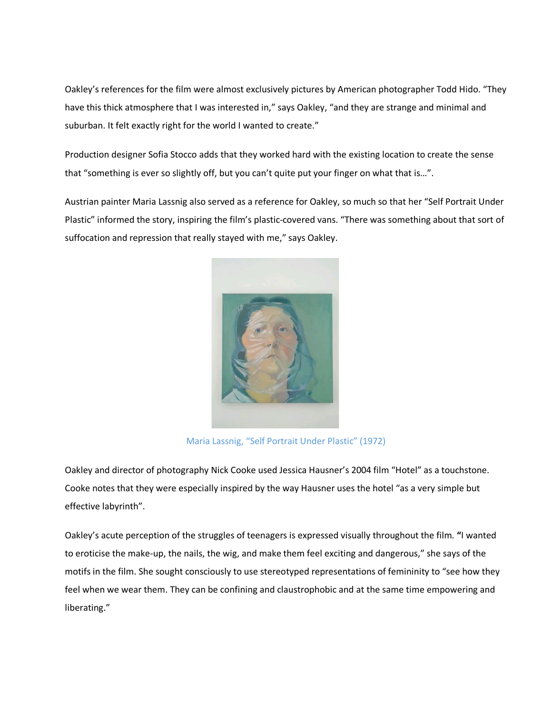Oakley's references for the film were almost exclusively pictures by American photographer Todd Hido. "They have this thick atmosphere that I was interested in," says Oakley, "and they are strange and minimal and suburban. It felt exactly right for the world I wanted to create."

Production designer Sofia Stocco adds that they worked hard with the existing location to create the sense that "something is ever so slightly off, but you can't quite put your finger on what that is…".

Austrian painter Maria Lassnig also served as a reference for Oakley, so much so that her "Self Portrait Under Plastic" informed the story, inspiring the film's plastic-covered vans. "There was something about that sort of suffocation and repression that really stayed with me," says Oakley.



Maria Lassnig, "Self Portrait Under Plastic" (1972)

Oakley and director of photography Nick Cooke used Jessica Hausner's 2004 film "Hotel" as a touchstone. Cooke notes that they were especially inspired by the way Hausner uses the hotel "as a very simple but effective labyrinth".

Oakley's acute perception of the struggles of teenagers is expressed visually throughout the film*.* **"**I wanted to eroticise the make-up, the nails, the wig, and make them feel exciting and dangerous," she says of the motifs in the film. She sought consciously to use stereotyped representations of femininity to "see how they feel when we wear them. They can be confining and claustrophobic and at the same time empowering and liberating."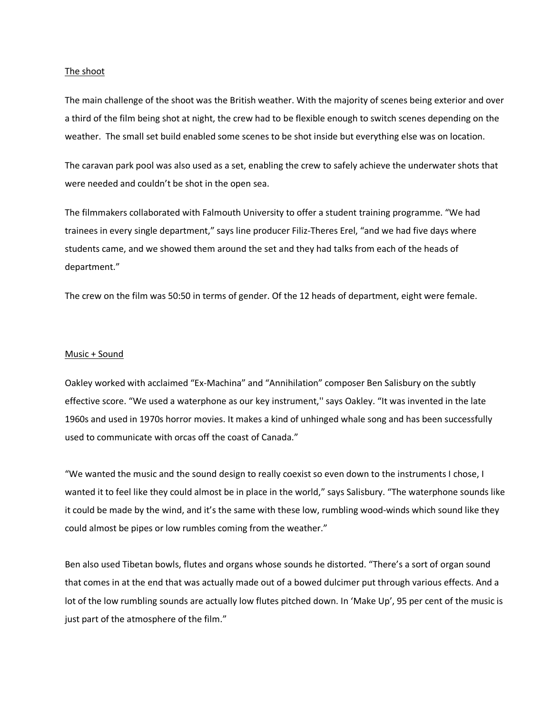#### The shoot

The main challenge of the shoot was the British weather. With the majority of scenes being exterior and over a third of the film being shot at night, the crew had to be flexible enough to switch scenes depending on the weather. The small set build enabled some scenes to be shot inside but everything else was on location.

The caravan park pool was also used as a set, enabling the crew to safely achieve the underwater shots that were needed and couldn't be shot in the open sea.

The filmmakers collaborated with Falmouth University to offer a student training programme. "We had trainees in every single department," says line producer Filiz-Theres Erel, "and we had five days where students came, and we showed them around the set and they had talks from each of the heads of department."

The crew on the film was 50:50 in terms of gender. Of the 12 heads of department, eight were female.

#### Music + Sound

Oakley worked with acclaimed "Ex-Machina" and "Annihilation" composer Ben Salisbury on the subtly effective score. "We used a waterphone as our key instrument,'' says Oakley. "It was invented in the late 1960s and used in 1970s horror movies. It makes a kind of unhinged whale song and has been successfully used to communicate with orcas off the coast of Canada."

"We wanted the music and the sound design to really coexist so even down to the instruments I chose, I wanted it to feel like they could almost be in place in the world," says Salisbury. "The waterphone sounds like it could be made by the wind, and it's the same with these low, rumbling wood-winds which sound like they could almost be pipes or low rumbles coming from the weather."

Ben also used Tibetan bowls, flutes and organs whose sounds he distorted. "There's a sort of organ sound that comes in at the end that was actually made out of a bowed dulcimer put through various effects. And a lot of the low rumbling sounds are actually low flutes pitched down. In 'Make Up', 95 per cent of the music is just part of the atmosphere of the film."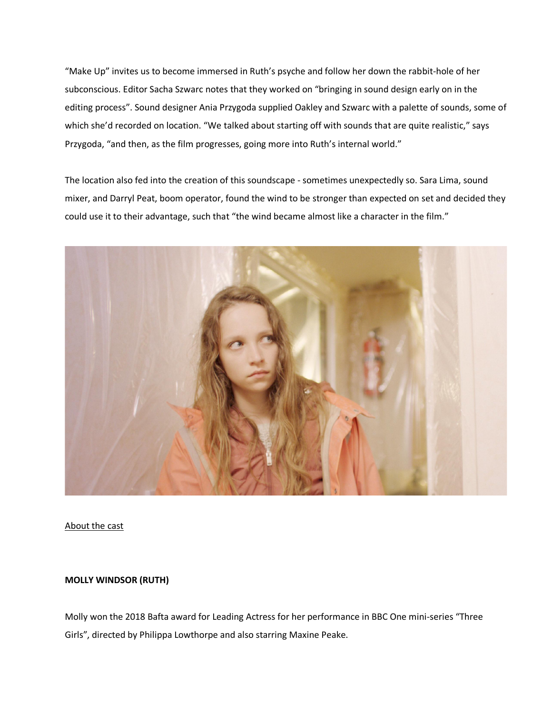"Make Up" invites us to become immersed in Ruth's psyche and follow her down the rabbit-hole of her subconscious. Editor Sacha Szwarc notes that they worked on "bringing in sound design early on in the editing process". Sound designer Ania Przygoda supplied Oakley and Szwarc with a palette of sounds, some of which she'd recorded on location. "We talked about starting off with sounds that are quite realistic," says Przygoda, "and then, as the film progresses, going more into Ruth's internal world."

The location also fed into the creation of this soundscape - sometimes unexpectedly so. Sara Lima, sound mixer, and Darryl Peat, boom operator, found the wind to be stronger than expected on set and decided they could use it to their advantage, such that "the wind became almost like a character in the film."



# About the cast

# **MOLLY WINDSOR (RUTH)**

Molly won the 2018 Bafta award for Leading Actress for her performance in BBC One mini-series "Three Girls", directed by Philippa Lowthorpe and also starring Maxine Peake.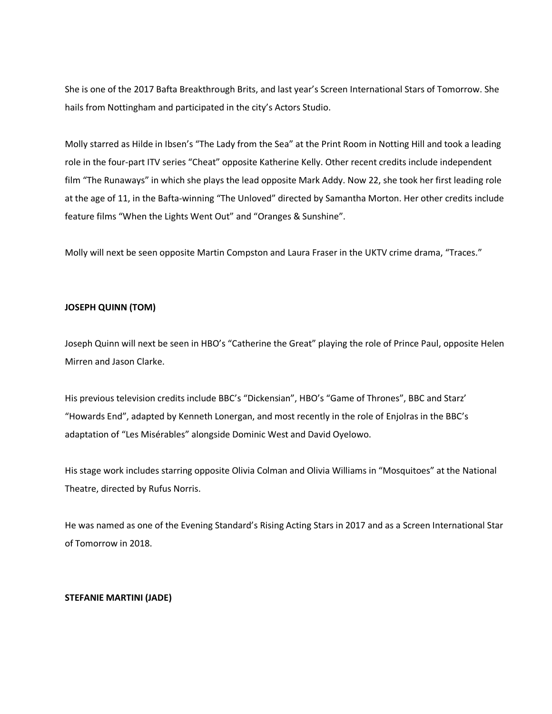She is one of the 2017 Bafta Breakthrough Brits, and last year's Screen International Stars of Tomorrow. She hails from Nottingham and participated in the city's Actors Studio.

Molly starred as Hilde in Ibsen's "The Lady from the Sea" at the Print Room in Notting Hill and took a leading role in the four-part ITV series "Cheat" opposite Katherine Kelly. Other recent credits include independent film "The Runaways" in which she plays the lead opposite Mark Addy. Now 22, she took her first leading role at the age of 11, in the Bafta-winning "The Unloved" directed by Samantha Morton. Her other credits include feature films "When the Lights Went Out" and "Oranges & Sunshine".

Molly will next be seen opposite Martin Compston and Laura Fraser in the UKTV crime drama, "Traces."

# **JOSEPH QUINN (TOM)**

Joseph Quinn will next be seen in HBO's "Catherine the Great" playing the role of Prince Paul, opposite Helen Mirren and Jason Clarke.

His previous television credits include BBC's "Dickensian", HBO's "Game of Thrones", BBC and Starz' "Howards End", adapted by Kenneth Lonergan, and most recently in the role of Enjolras in the BBC's adaptation of "Les Misérables" alongside Dominic West and David Oyelowo.

His stage work includes starring opposite Olivia Colman and Olivia Williams in "Mosquitoes" at the National Theatre, directed by Rufus Norris.

He was named as one of the Evening Standard's Rising Acting Stars in 2017 and as a Screen International Star of Tomorrow in 2018.

# **STEFANIE MARTINI (JADE)**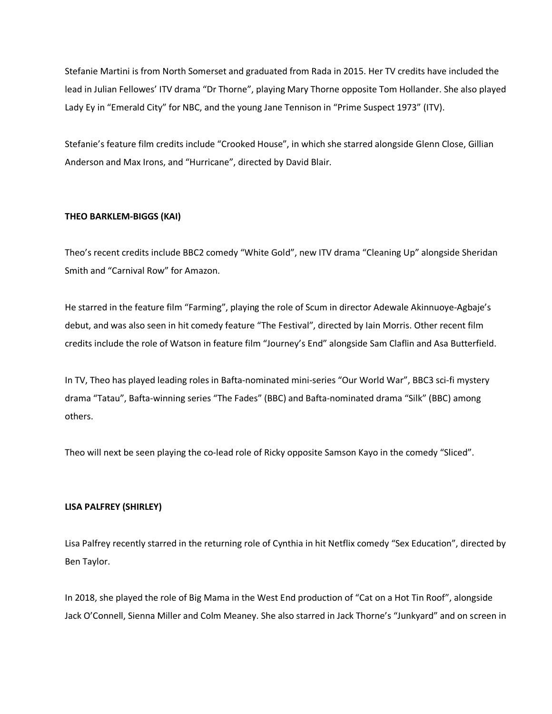Stefanie Martini is from North Somerset and graduated from Rada in 2015. Her TV credits have included the lead in Julian Fellowes' ITV drama "Dr Thorne", playing Mary Thorne opposite Tom Hollander. She also played Lady Ey in "Emerald City" for NBC, and the young Jane Tennison in "Prime Suspect 1973" (ITV).

Stefanie's feature film credits include "Crooked House", in which she starred alongside Glenn Close, Gillian Anderson and Max Irons, and "Hurricane", directed by David Blair.

# **THEO BARKLEM-BIGGS (KAI)**

Theo's recent credits include BBC2 comedy "White Gold", new ITV drama "Cleaning Up" alongside Sheridan Smith and "Carnival Row" for Amazon.

He starred in the feature film "Farming", playing the role of Scum in director Adewale Akinnuoye-Agbaje's debut, and was also seen in hit comedy feature "The Festival", directed by Iain Morris. Other recent film credits include the role of Watson in feature film "Journey's End" alongside Sam Claflin and Asa Butterfield.

In TV, Theo has played leading roles in Bafta-nominated mini-series "Our World War", BBC3 sci-fi mystery drama "Tatau", Bafta-winning series "The Fades" (BBC) and Bafta-nominated drama "Silk" (BBC) among others.

Theo will next be seen playing the co-lead role of Ricky opposite Samson Kayo in the comedy "Sliced".

# **LISA PALFREY (SHIRLEY)**

Lisa Palfrey recently starred in the returning role of Cynthia in hit Netflix comedy "Sex Education", directed by Ben Taylor.

In 2018, she played the role of Big Mama in the West End production of "Cat on a Hot Tin Roof", alongside Jack O'Connell, Sienna Miller and Colm Meaney. She also starred in Jack Thorne's "Junkyard" and on screen in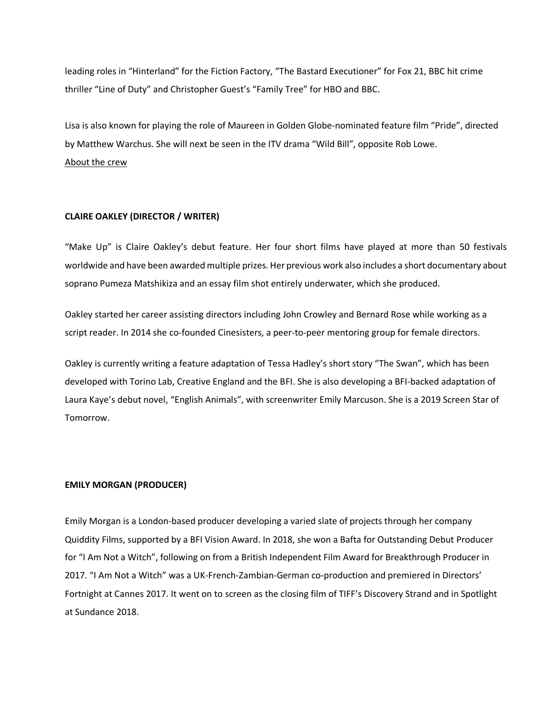leading roles in "Hinterland" for the Fiction Factory, "The Bastard Executioner" for Fox 21, BBC hit crime thriller "Line of Duty" and Christopher Guest's "Family Tree" for HBO and BBC.

Lisa is also known for playing the role of Maureen in Golden Globe-nominated feature film "Pride", directed by Matthew Warchus. She will next be seen in the ITV drama "Wild Bill", opposite Rob Lowe. About the crew

## **CLAIRE OAKLEY (DIRECTOR / WRITER)**

"Make Up" is Claire Oakley's debut feature. Her four short films have played at more than 50 festivals worldwide and have been awarded multiple prizes. Her previous work also includes a short documentary about soprano Pumeza Matshikiza and an essay film shot entirely underwater, which she produced.

Oakley started her career assisting directors including John Crowley and Bernard Rose while working as a script reader. In 2014 she co-founded Cinesisters, a peer-to-peer mentoring group for female directors.

Oakley is currently writing a feature adaptation of Tessa Hadley's short story "The Swan", which has been developed with Torino Lab, Creative England and the BFI. She is also developing a BFI-backed adaptation of Laura Kaye's debut novel, "English Animals", with screenwriter Emily Marcuson. She is a 2019 Screen Star of Tomorrow.

## **EMILY MORGAN (PRODUCER)**

Emily Morgan is a London-based producer developing a varied slate of projects through her company Quiddity Films, supported by a BFI Vision Award. In 2018, she won a Bafta for Outstanding Debut Producer for "I Am Not a Witch", following on from a British Independent Film Award for Breakthrough Producer in 2017. "I Am Not a Witch" was a UK-French-Zambian-German co-production and premiered in Directors' Fortnight at Cannes 2017. It went on to screen as the closing film of TIFF's Discovery Strand and in Spotlight at Sundance 2018.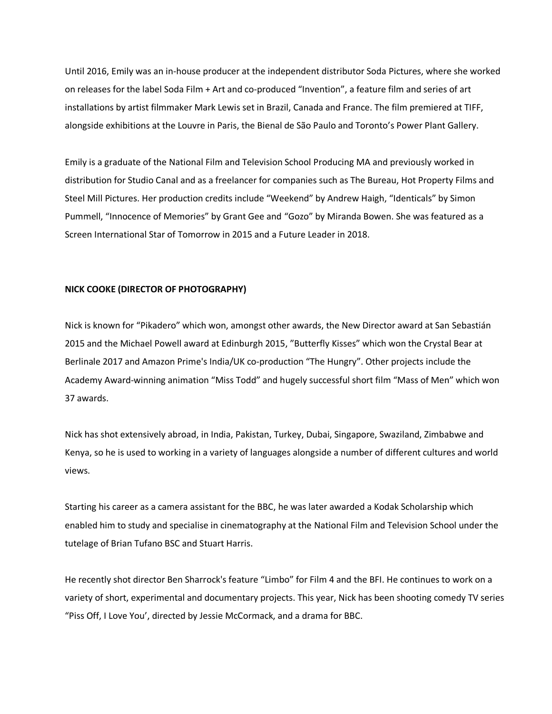Until 2016, Emily was an in-house producer at the independent distributor Soda Pictures, where she worked on releases for the label Soda Film + Art and co-produced "Invention", a feature film and series of art installations by artist filmmaker Mark Lewis set in Brazil, Canada and France. The film premiered at TIFF, alongside exhibitions at the Louvre in Paris, the Bienal de São Paulo and Toronto's Power Plant Gallery.

Emily is a graduate of the National Film and Television School Producing MA and previously worked in distribution for Studio Canal and as a freelancer for companies such as The Bureau, Hot Property Films and Steel Mill Pictures. Her production credits include "Weekend" by Andrew Haigh, "Identicals" by Simon Pummell, "Innocence of Memories" by Grant Gee and "Gozo" by Miranda Bowen. She was featured as a Screen International Star of Tomorrow in 2015 and a Future Leader in 2018.

# **NICK COOKE (DIRECTOR OF PHOTOGRAPHY)**

Nick is known for "Pikadero" which won, amongst other awards, the New Director award at San Sebastián 2015 and the Michael Powell award at Edinburgh 2015, "Butterfly Kisses" which won the Crystal Bear at Berlinale 2017 and Amazon Prime's India/UK co-production "The Hungry". Other projects include the Academy Award-winning animation "Miss Todd" and hugely successful short film "Mass of Men" which won 37 awards.

Nick has shot extensively abroad, in India, Pakistan, Turkey, Dubai, Singapore, Swaziland, Zimbabwe and Kenya, so he is used to working in a variety of languages alongside a number of different cultures and world views.

Starting his career as a camera assistant for the BBC, he was later awarded a Kodak Scholarship which enabled him to study and specialise in cinematography at the National Film and Television School under the tutelage of Brian Tufano BSC and Stuart Harris.

He recently shot director Ben Sharrock's feature "Limbo" for Film 4 and the BFI. He continues to work on a variety of short, experimental and documentary projects. This year, Nick has been shooting comedy TV series "Piss Off, I Love You', directed by Jessie McCormack, and a drama for BBC.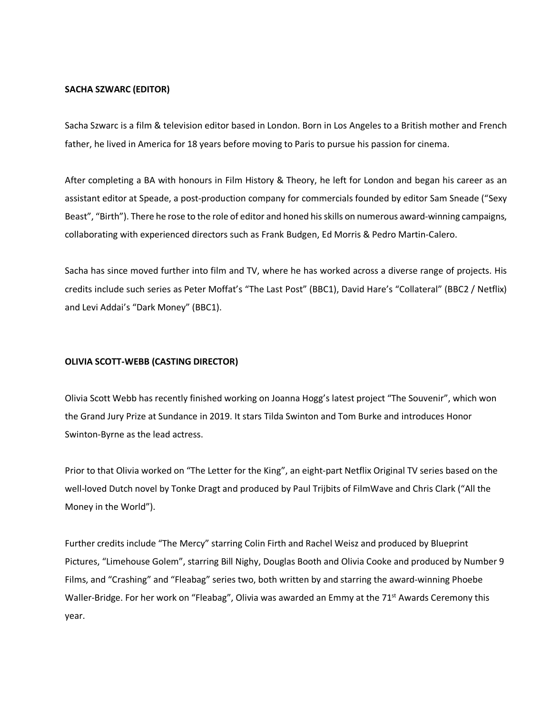#### **SACHA SZWARC (EDITOR)**

Sacha Szwarc is a film & television editor based in London. Born in Los Angeles to a British mother and French father, he lived in America for 18 years before moving to Paris to pursue his passion for cinema.

After completing a BA with honours in Film History & Theory, he left for London and began his career as an assistant editor at Speade, a post-production company for commercials founded by editor Sam Sneade ("Sexy Beast", "Birth"). There he rose to the role of editor and honed his skills on numerous award-winning campaigns, collaborating with experienced directors such as Frank Budgen, Ed Morris & Pedro Martin-Calero.

Sacha has since moved further into film and TV, where he has worked across a diverse range of projects. His credits include such series as Peter Moffat's "The Last Post" (BBC1), David Hare's "Collateral" (BBC2 / Netflix) and Levi Addai's "Dark Money" (BBC1).

## **OLIVIA SCOTT-WEBB (CASTING DIRECTOR)**

Olivia Scott Webb has recently finished working on Joanna Hogg's latest project "The Souvenir", which won the Grand Jury Prize at Sundance in 2019. It stars Tilda Swinton and Tom Burke and introduces Honor Swinton-Byrne as the lead actress.

Prior to that Olivia worked on "The Letter for the King", an eight-part Netflix Original TV series based on the well-loved Dutch novel by Tonke Dragt and produced by Paul Trijbits of FilmWave and Chris Clark ("All the Money in the World").

Further credits include "The Mercy" starring Colin Firth and Rachel Weisz and produced by Blueprint Pictures, "Limehouse Golem", starring Bill Nighy, Douglas Booth and Olivia Cooke and produced by Number 9 Films, and "Crashing" and "Fleabag" series two, both written by and starring the award-winning Phoebe Waller-Bridge. For her work on "Fleabag", Olivia was awarded an Emmy at the 71<sup>st</sup> Awards Ceremony this year.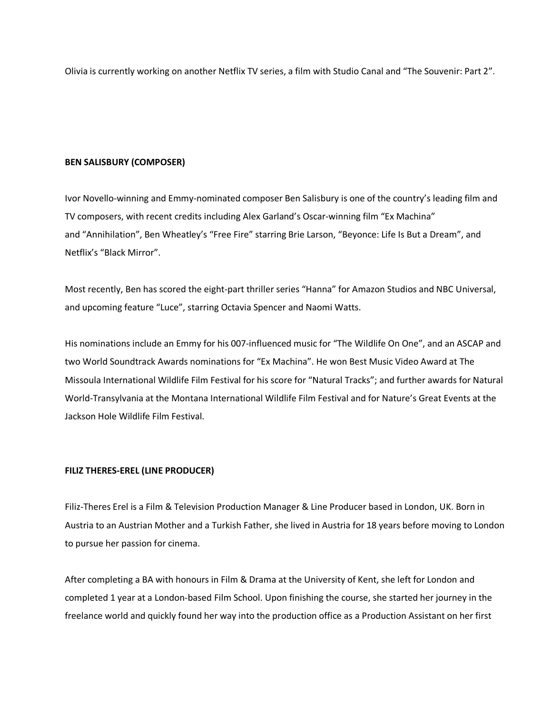Olivia is currently working on another Netflix TV series, a film with Studio Canal and "The Souvenir: Part 2".

#### **BEN SALISBURY (COMPOSER)**

Ivor Novello-winning and Emmy-nominated composer Ben Salisbury is one of the country's leading film and TV composers, with recent credits including Alex Garland's Oscar-winning film "Ex Machina" and "Annihilation", Ben Wheatley's "Free Fire" starring Brie Larson, "Beyonce: Life Is But a Dream", and Netflix's "Black Mirror".

Most recently, Ben has scored the eight-part thriller series "Hanna" for Amazon Studios and NBC Universal, and upcoming feature "Luce", starring Octavia Spencer and Naomi Watts.

His nominations include an Emmy for his 007-influenced music for "The Wildlife On One", and an ASCAP and two World Soundtrack Awards nominations for "Ex Machina". He won Best Music Video Award at The Missoula International Wildlife Film Festival for his score for "Natural Tracks"; and further awards for Natural World-Transylvania at the Montana International Wildlife Film Festival and for Nature's Great Events at the Jackson Hole Wildlife Film Festival.

## **FILIZ THERES-EREL (LINE PRODUCER)**

Filiz-Theres Erel is a Film & Television Production Manager & Line Producer based in London, UK. Born in Austria to an Austrian Mother and a Turkish Father, she lived in Austria for 18 years before moving to London to pursue her passion for cinema.

After completing a BA with honours in Film & Drama at the University of Kent, she left for London and completed 1 year at a London-based Film School. Upon finishing the course, she started her journey in the freelance world and quickly found her way into the production office as a Production Assistant on her first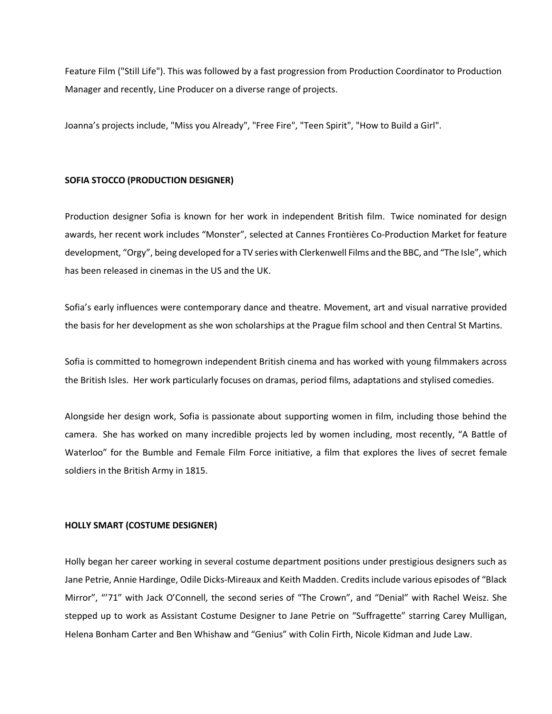Feature Film ("Still Life"). This was followed by a fast progression from Production Coordinator to Production Manager and recently, Line Producer on a diverse range of projects.

Joanna's projects include, "Miss you Already", "Free Fire", "Teen Spirit", "How to Build a Girl".

# **SOFIA STOCCO (PRODUCTION DESIGNER)**

Production designer Sofia is known for her work in independent British film. Twice nominated for design awards, her recent work includes "Monster", selected at Cannes Frontières Co-Production Market for feature development, "Orgy", being developed for a TV series with Clerkenwell Films and the BBC, and "The Isle", which has been released in cinemas in the US and the UK.

Sofia's early influences were contemporary dance and theatre. Movement, art and visual narrative provided the basis for her development as she won scholarships at the Prague film school and then Central St Martins.

Sofia is committed to homegrown independent British cinema and has worked with young filmmakers across the British Isles. Her work particularly focuses on dramas, period films, adaptations and stylised comedies.

Alongside her design work, Sofia is passionate about supporting women in film, including those behind the camera. She has worked on many incredible projects led by women including, most recently, "A Battle of Waterloo" for the Bumble and Female Film Force initiative, a film that explores the lives of secret female soldiers in the British Army in 1815.

## **HOLLY SMART (COSTUME DESIGNER)**

Holly began her career working in several costume department positions under prestigious designers such as Jane Petrie, Annie Hardinge, Odile Dicks-Mireaux and Keith Madden. Credits include various episodes of "Black Mirror", "'71" with Jack O'Connell, the second series of "The Crown", and "Denial" with Rachel Weisz. She stepped up to work as Assistant Costume Designer to Jane Petrie on "Suffragette" starring Carey Mulligan, Helena Bonham Carter and Ben Whishaw and "Genius" with Colin Firth, Nicole Kidman and Jude Law.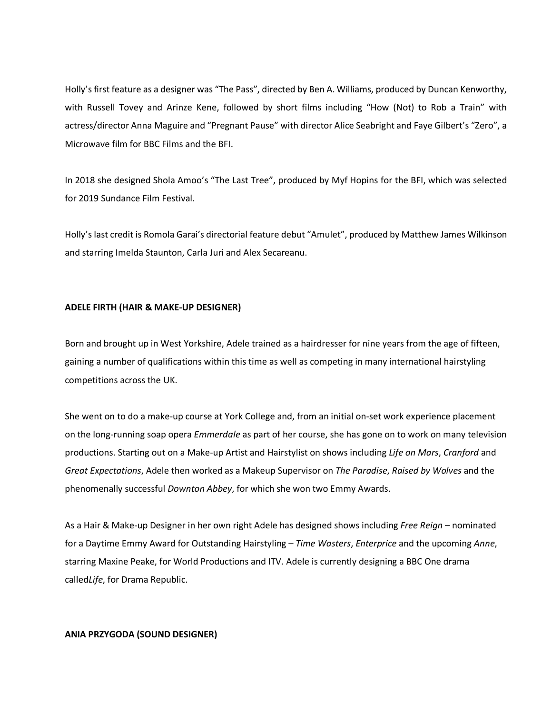Holly's first feature as a designer was "The Pass", directed by Ben A. Williams, produced by Duncan Kenworthy, with Russell Tovey and Arinze Kene, followed by short films including "How (Not) to Rob a Train" with actress/director Anna Maguire and "Pregnant Pause" with director Alice Seabright and Faye Gilbert's "Zero", a Microwave film for BBC Films and the BFI.

In 2018 she designed Shola Amoo's "The Last Tree", produced by Myf Hopins for the BFI, which was selected for 2019 Sundance Film Festival.

Holly's last credit is Romola Garai's directorial feature debut "Amulet", produced by Matthew James Wilkinson and starring Imelda Staunton, Carla Juri and Alex Secareanu.

# **ADELE FIRTH (HAIR & MAKE-UP DESIGNER)**

Born and brought up in West Yorkshire, Adele trained as a hairdresser for nine years from the age of fifteen, gaining a number of qualifications within this time as well as competing in many international hairstyling competitions across the UK.

She went on to do a make-up course at York College and, from an initial on-set work experience placement on the long-running soap opera *Emmerdale* as part of her course, she has gone on to work on many television productions. Starting out on a Make-up Artist and Hairstylist on shows including *Life on Mars*, *Cranford* and *Great Expectations*, Adele then worked as a Makeup Supervisor on *The Paradise*, *Raised by Wolves* and the phenomenally successful *Downton Abbey*, for which she won two Emmy Awards.

As a Hair & Make-up Designer in her own right Adele has designed shows including *Free Reign* – nominated for a Daytime Emmy Award for Outstanding Hairstyling – *Time Wasters*, *Enterprice* and the upcoming *Anne*, starring Maxine Peake, for World Productions and ITV. Adele is currently designing a BBC One drama called*Life*, for Drama Republic.

## **ANIA PRZYGODA (SOUND DESIGNER)**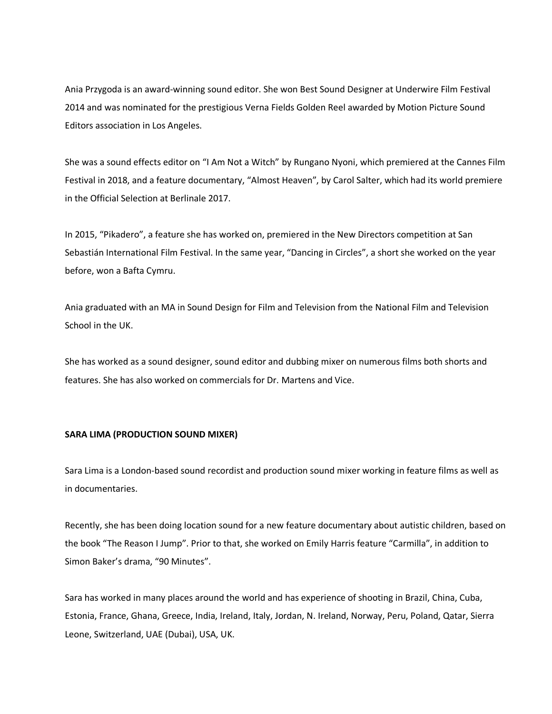Ania Przygoda is an award-winning sound editor. She won Best Sound Designer at Underwire Film Festival 2014 and was nominated for the prestigious Verna Fields Golden Reel awarded by Motion Picture Sound Editors association in Los Angeles.

She was a sound effects editor on "I Am Not a Witch" by Rungano Nyoni, which premiered at the Cannes Film Festival in 2018, and a feature documentary, "Almost Heaven", by Carol Salter, which had its world premiere in the Official Selection at Berlinale 2017.

In 2015, "Pikadero", a feature she has worked on, premiered in the New Directors competition at San Sebastián International Film Festival. In the same year, "Dancing in Circles", a short she worked on the year before, won a Bafta Cymru.

Ania graduated with an MA in Sound Design for Film and Television from the National Film and Television School in the UK.

She has worked as a sound designer, sound editor and dubbing mixer on numerous films both shorts and features. She has also worked on commercials for Dr. Martens and Vice.

# **SARA LIMA (PRODUCTION SOUND MIXER)**

Sara Lima is a London-based sound recordist and production sound mixer working in feature films as well as in documentaries.

Recently, she has been doing location sound for a new feature documentary about autistic children, based on the book "The Reason I Jump". Prior to that, she worked on Emily Harris feature "Carmilla", in addition to Simon Baker's drama, "90 Minutes".

Sara has worked in many places around the world and has experience of shooting in Brazil, China, Cuba, Estonia, France, Ghana, Greece, India, Ireland, Italy, Jordan, N. Ireland, Norway, Peru, Poland, Qatar, Sierra Leone, Switzerland, UAE (Dubai), USA, UK.